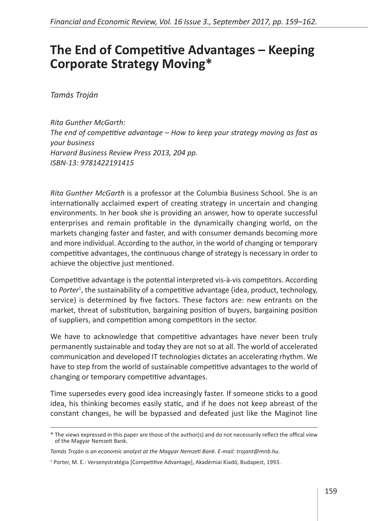## **The End of Competitive Advantages – Keeping Corporate Strategy Moving\***

*Tamás Troján*

*Rita Gunther McGarth: The end of competitive advantage – How to keep your strategy moving as fast as your business Harvard Business Review Press 2013, 204 pp. ISBN-13: 9781422191415*

*Rita Gunther McGarth* is a professor at the Columbia Business School. She is an internationally acclaimed expert of creating strategy in uncertain and changing environments. In her book she is providing an answer, how to operate successful enterprises and remain profitable in the dynamically changing world, on the markets changing faster and faster, and with consumer demands becoming more and more individual. According to the author, in the world of changing or temporary competitive advantages, the continuous change of strategy is necessary in order to achieve the objective just mentioned.

Competitive advantage is the potential interpreted vis-à-vis competitors. According to *Porter*<sup>1</sup> , the sustainability of a competitive advantage (idea, product, technology, service) is determined by five factors. These factors are: new entrants on the market, threat of substitution, bargaining position of buyers, bargaining position of suppliers, and competition among competitors in the sector.

We have to acknowledge that competitive advantages have never been truly permanently sustainable and today they are not so at all. The world of accelerated communication and developed IT technologies dictates an accelerating rhythm. We have to step from the world of sustainable competitive advantages to the world of changing or temporary competitive advantages.

Time supersedes every good idea increasingly faster. If someone sticks to a good idea, his thinking becomes easily static, and if he does not keep abreast of the constant changes, he will be bypassed and defeated just like the Maginot line

<sup>\*</sup> The views expressed in this paper are those of the author(s) and do not necessarily reflect the offical view of the Magyar Nemzeti Bank.

*Tamás Troján is an economic analyst at the Magyar Nemzeti Bank. E-mail: trojant@mnb.hu.*

<sup>&</sup>lt;sup>1</sup> Porter, M. E.: Versenystratégia [Competitive Advantage], Akadémiai Kiadó, Budapest, 1993.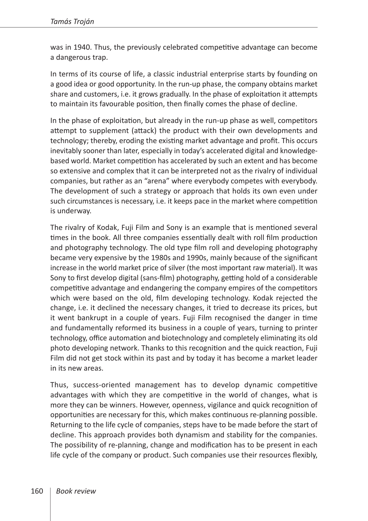was in 1940. Thus, the previously celebrated competitive advantage can become a dangerous trap.

In terms of its course of life, a classic industrial enterprise starts by founding on a good idea or good opportunity. In the run-up phase, the company obtains market share and customers, i.e. it grows gradually. In the phase of exploitation it attempts to maintain its favourable position, then finally comes the phase of decline.

In the phase of exploitation, but already in the run-up phase as well, competitors attempt to supplement (attack) the product with their own developments and technology; thereby, eroding the existing market advantage and profit. This occurs inevitably sooner than later, especially in today's accelerated digital and knowledgebased world. Market competition has accelerated by such an extent and has become so extensive and complex that it can be interpreted not as the rivalry of individual companies, but rather as an "arena" where everybody competes with everybody. The development of such a strategy or approach that holds its own even under such circumstances is necessary, i.e. it keeps pace in the market where competition is underway.

The rivalry of Kodak, Fuji Film and Sony is an example that is mentioned several times in the book. All three companies essentially dealt with roll film production and photography technology. The old type film roll and developing photography became very expensive by the 1980s and 1990s, mainly because of the significant increase in the world market price of silver (the most important raw material). It was Sony to first develop digital (sans-film) photography, getting hold of a considerable competitive advantage and endangering the company empires of the competitors which were based on the old, film developing technology. Kodak rejected the change, i.e. it declined the necessary changes, it tried to decrease its prices, but it went bankrupt in a couple of years. Fuji Film recognised the danger in time and fundamentally reformed its business in a couple of years, turning to printer technology, office automation and biotechnology and completely eliminating its old photo developing network. Thanks to this recognition and the quick reaction, Fuji Film did not get stock within its past and by today it has become a market leader in its new areas.

Thus, success-oriented management has to develop dynamic competitive advantages with which they are competitive in the world of changes, what is more they can be winners. However, openness, vigilance and quick recognition of opportunities are necessary for this, which makes continuous re-planning possible. Returning to the life cycle of companies, steps have to be made before the start of decline. This approach provides both dynamism and stability for the companies. The possibility of re-planning, change and modification has to be present in each life cycle of the company or product. Such companies use their resources flexibly,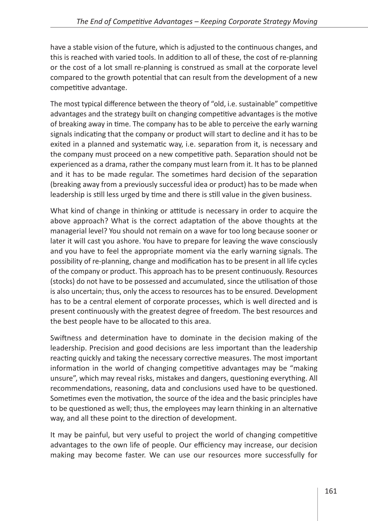have a stable vision of the future, which is adjusted to the continuous changes, and this is reached with varied tools. In addition to all of these, the cost of re-planning or the cost of a lot small re-planning is construed as small at the corporate level compared to the growth potential that can result from the development of a new competitive advantage.

The most typical difference between the theory of "old, i.e. sustainable" competitive advantages and the strategy built on changing competitive advantages is the motive of breaking away in time. The company has to be able to perceive the early warning signals indicating that the company or product will start to decline and it has to be exited in a planned and systematic way, i.e. separation from it, is necessary and the company must proceed on a new competitive path. Separation should not be experienced as a drama, rather the company must learn from it. It has to be planned and it has to be made regular. The sometimes hard decision of the separation (breaking away from a previously successful idea or product) has to be made when leadership is still less urged by time and there is still value in the given business.

What kind of change in thinking or attitude is necessary in order to acquire the above approach? What is the correct adaptation of the above thoughts at the managerial level? You should not remain on a wave for too long because sooner or later it will cast you ashore. You have to prepare for leaving the wave consciously and you have to feel the appropriate moment via the early warning signals. The possibility of re-planning, change and modification has to be present in all life cycles of the company or product. This approach has to be present continuously. Resources (stocks) do not have to be possessed and accumulated, since the utilisation of those is also uncertain; thus, only the access to resources has to be ensured. Development has to be a central element of corporate processes, which is well directed and is present continuously with the greatest degree of freedom. The best resources and the best people have to be allocated to this area.

Swiftness and determination have to dominate in the decision making of the leadership. Precision and good decisions are less important than the leadership reacting quickly and taking the necessary corrective measures. The most important information in the world of changing competitive advantages may be "making unsure", which may reveal risks, mistakes and dangers, questioning everything. All recommendations, reasoning, data and conclusions used have to be questioned. Sometimes even the motivation, the source of the idea and the basic principles have to be questioned as well; thus, the employees may learn thinking in an alternative way, and all these point to the direction of development.

It may be painful, but very useful to project the world of changing competitive advantages to the own life of people. Our efficiency may increase, our decision making may become faster. We can use our resources more successfully for